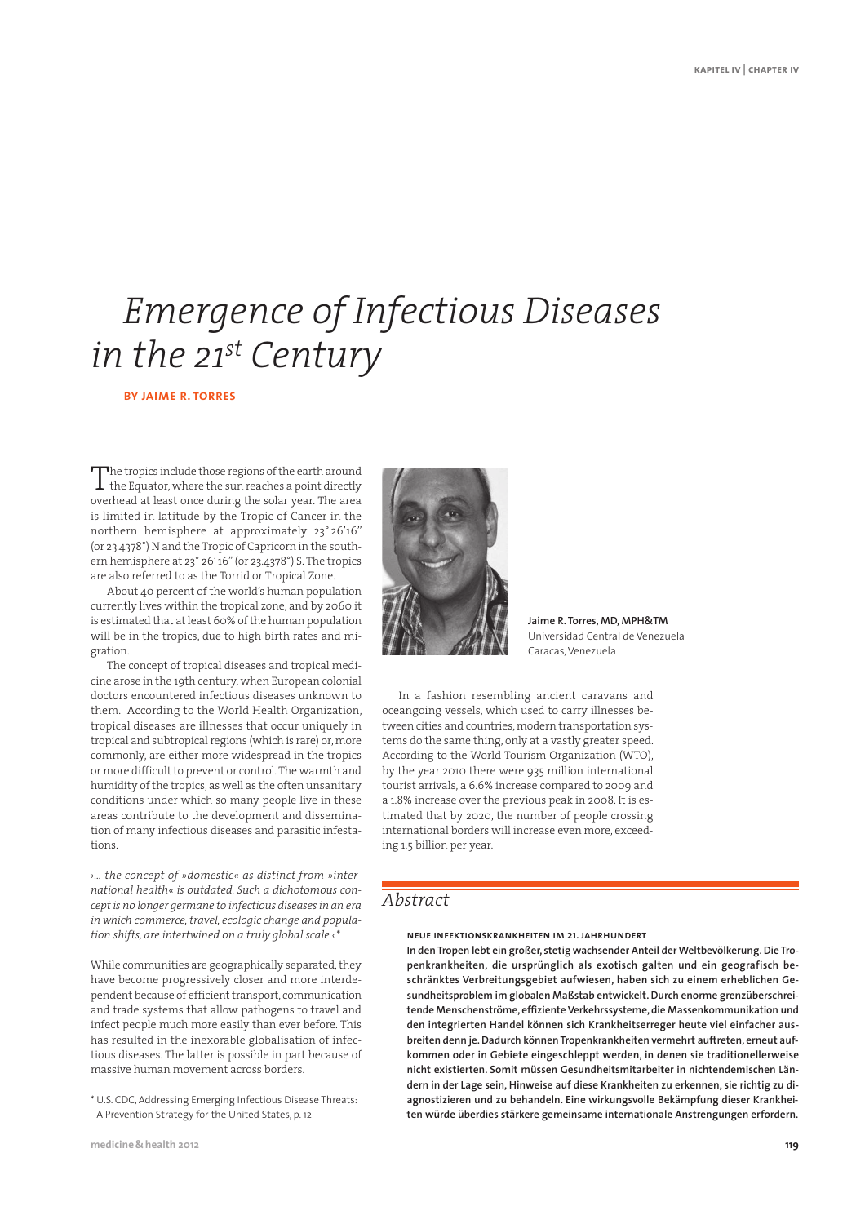# *Emergence of Infectious Diseases in the 21st Century*

### **by jaime r. torres**

The tropics include those regions of the earth around<br>the Equator, where the sun reaches a point directly  $\perp$  the Equator, where the sun reaches a point directly overhead at least once during the solar year. The area is limited in latitude by the Tropic of Cancer in the northern hemisphere at approximately 23° 26'16'' (or 23.4378°) N and the Tropic of Capricorn in the southern hemisphere at 23° 26' 16'' (or 23.4378°) S. The tropics are also referred to as the Torrid or Tropical Zone.

About 40 percent of the world's human population currently lives within the tropical zone, and by 2060 it is estimated that at least 60% of the human population will be in the tropics, due to high birth rates and migration.

The concept of tropical diseases and tropical medicine arose in the 19th century, when European colonial doctors encountered infectious diseases unknown to them. According to the World Health Organization, tropical diseases are illnesses that occur uniquely in tropical and subtropical regions (which is rare) or, more commonly, are either more widespread in the tropics or more difficult to prevent or control. The warmth and humidity of the tropics, as well as the often unsanitary conditions under which so many people live in these areas contribute to the development and dissemination of many infectious diseases and parasitic infestations.

*›… the concept of »domestic« as distinct from »inter national health« is outdated. Such a dichotomous concept is no longer germane to infectious diseases in an era in which commerce, travel, ecologic change and population shifts, are intertwined on a truly global scale.‹*\*

While communities are geographically separated, they have become progressively closer and more interdependent because of efficient transport, communication and trade systems that allow pathogens to travel and infect people much more easily than ever before. This has resulted in the inexorable globalisation of infectious diseases. The latter is possible in part because of massive human movement across borders.

\* U.S. CDC, Addressing Emerging Infectious Disease Threats: A Prevention Strategy for the United States, p. 12



**Jaime R. Torres, MD, MPH&TM** Universidad Central de Venezuela Caracas, Venezuela

In a fashion resembling ancient caravans and oceangoing vessels, which used to carry illnesses between cities and countries, modern transportation systems do the same thing, only at a vastly greater speed. According to the World Tourism Organization (WTO), by the year 2010 there were 935 million international tourist arrivals, a 6.6% increase compared to 2009 and a 1.8% increase over the previous peak in 2008. It is estimated that by 2020, the number of people crossing international borders will increase even more, exceeding 1.5 billion per year.

# *Abstract*

**neue infektionskrankheiten im 21. jahrhundert**

**In den Tropen lebt ein großer, stetig wachsender Anteil der Weltbevölkerung. Die Tropenkrankheiten, die ursprünglich als exotisch galten und ein geografisch beschränktes Verbreitungsgebiet aufwiesen, haben sich zu einem erheblichen Gesundheitsproblem im globalen Maßstab entwickelt. Durch enorme grenzüberschreitende Menschenströme, effiziente Verkehrssysteme, die Massenkommunikation und den integrierten Handel können sich Krankheitserreger heute viel einfacher ausbreiten denn je. Dadurch können Tropenkrankheiten vermehrt auftreten, erneut aufkommen oder in Gebiete eingeschleppt werden, in denen sie traditionellerweise nicht existierten. Somit müssen Gesundheitsmitarbeiter in nichtendemischen Ländern in der Lage sein, Hinweise auf diese Krankheiten zu erkennen, sie richtig zu diagnostizieren und zu behandeln. Eine wirkungsvolle Bekämpfung dieser Krankheiten würde überdies stärkere gemeinsame internationale Anstrengungen erfordern.**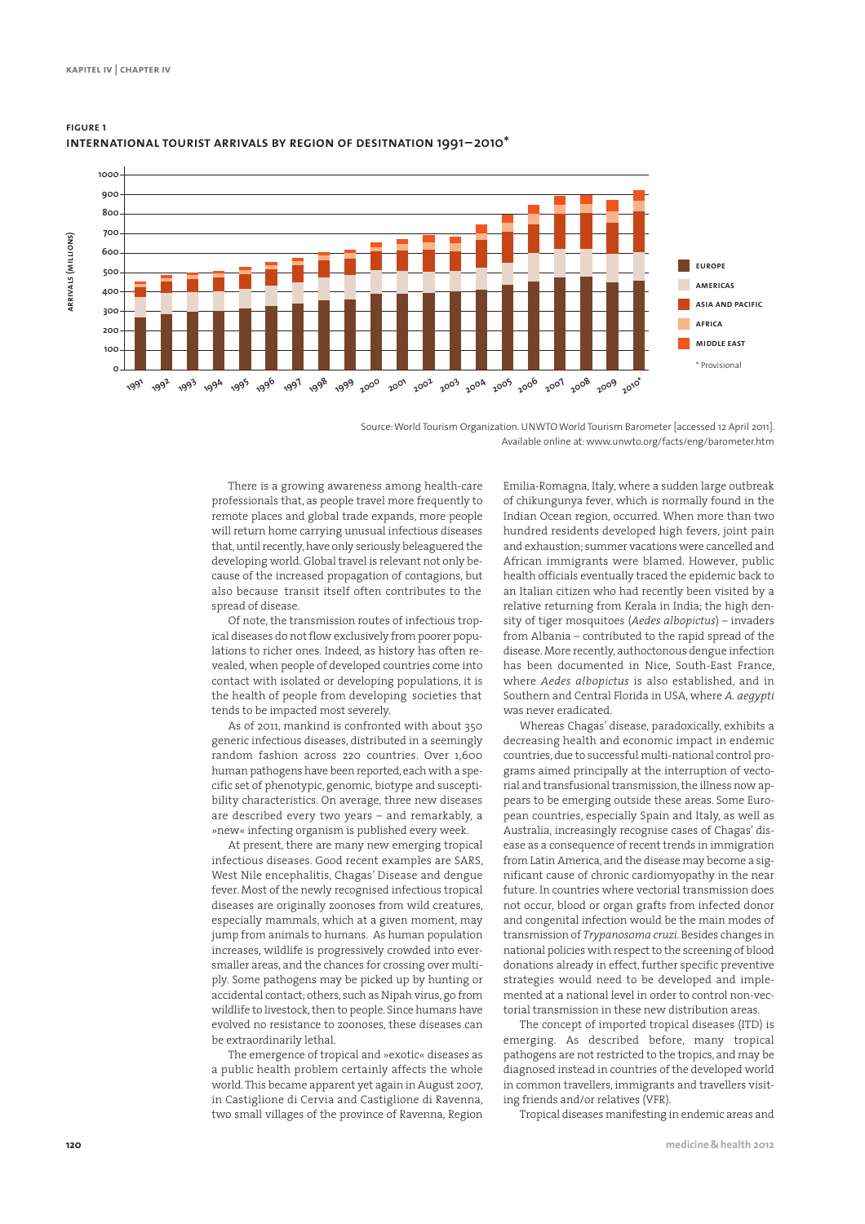

## **figure 1 international tourist arrivals by region of desitnation 1991– 2010\***

Source: World Tourism Organization. UNWTO World Tourism Barometer [accessed 12 April 2011]. Available online at: www.unwto.org/facts/eng/barometer.htm

There is a growing awareness among health-care professionals that, as people travel more frequently to remote places and global trade expands, more people will return home carrying unusual infectious diseases that, until recently, have only seriously beleaguered the developing world. Global travel is relevant not only because of the increased propagation of contagions, but also because transit itself often contributes to the spread of disease.

Of note, the transmission routes of infectious tropical diseases do not flow exclusively from poorer populations to richer ones. Indeed, as history has often revealed, when people of developed countries come into contact with isolated or developing populations, it is the health of people from developing societies that tends to be impacted most severely.

As of 2011, mankind is confronted with about 350 generic infectious diseases, distributed in a seemingly random fashion across 220 countries. Over 1,600 human pathogens have been reported, each with a specific set of phenotypic, genomic, biotype and susceptibility characteristics. On average, three new diseases are described every two years – and remarkably, a »new« infecting organism is published every week.

At present, there are many new emerging tropical infectious diseases. Good recent examples are SARS, West Nile encephalitis, Chagas' Disease and dengue fever. Most of the newly recognised infectious tropical diseases are originally zoonoses from wild creatures, especially mammals, which at a given moment, may jump from animals to humans. As human population increases, wildlife is progressively crowded into eversmaller areas, and the chances for crossing over multiply. Some pathogens may be picked up by hunting or accidental contact; others, such as Nipah virus, go from wildlife to livestock, then to people. Since humans have evolved no resistance to zoonoses, these diseases can be extraordinarily lethal.

The emergence of tropical and »exotic« diseases as a public health problem certainly affects the whole world. This became apparent yet again in August 2007, in Castiglione di Cervia and Castiglione di Ravenna, two small villages of the province of Ravenna, Region Emilia-Romagna, Italy, where a sudden large outbreak of chikungunya fever, which is normally found in the Indian Ocean region, occurred. When more than two hundred residents developed high fevers, joint pain and exhaustion; summer vacations were cancelled and African immigrants were blamed. However, public health officials eventually traced the epidemic back to an Italian citizen who had recently been visited by a relative returning from Kerala in India; the high density of tiger mosquitoes (*Aedes albopictus*) – invaders from Albania – contributed to the rapid spread of the disease. More recently, authoctonous dengue infection has been documented in Nice, South-East France, where *Aedes albopictus* is also established, and in Southern and Central Florida in USA, where *A. aegypti* was never eradicated.

Whereas Chagas' disease, paradoxically, exhibits a decreasing health and economic impact in endemic countries, due to successful multi-national control programs aimed principally at the interruption of vectorial and transfusional transmission, the illness now appears to be emerging outside these areas. Some European countries, especially Spain and Italy, as well as Australia, increasingly recognise cases of Chagas' disease as a consequence of recent trends in immigration from Latin America, and the disease may become a significant cause of chronic cardiomyopathy in the near future. In countries where vectorial transmission does not occur, blood or organ grafts from infected donor and congenital infection would be the main modes of transmission of *Trypanosoma cruzi*. Besides changes in national policies with respect to the screening of blood donations already in effect, further specific preventive strategies would need to be developed and implemented at a national level in order to control non-vectorial transmission in these new distribution areas.

The concept of imported tropical diseases (ITD) is emerging. As described before, many tropical pathogens are not restricted to the tropics, and may be diagnosed instead in countries of the developed world in common travellers, immigrants and travellers visiting friends and/or relatives (VFR).

Tropical diseases manifesting in endemic areas and